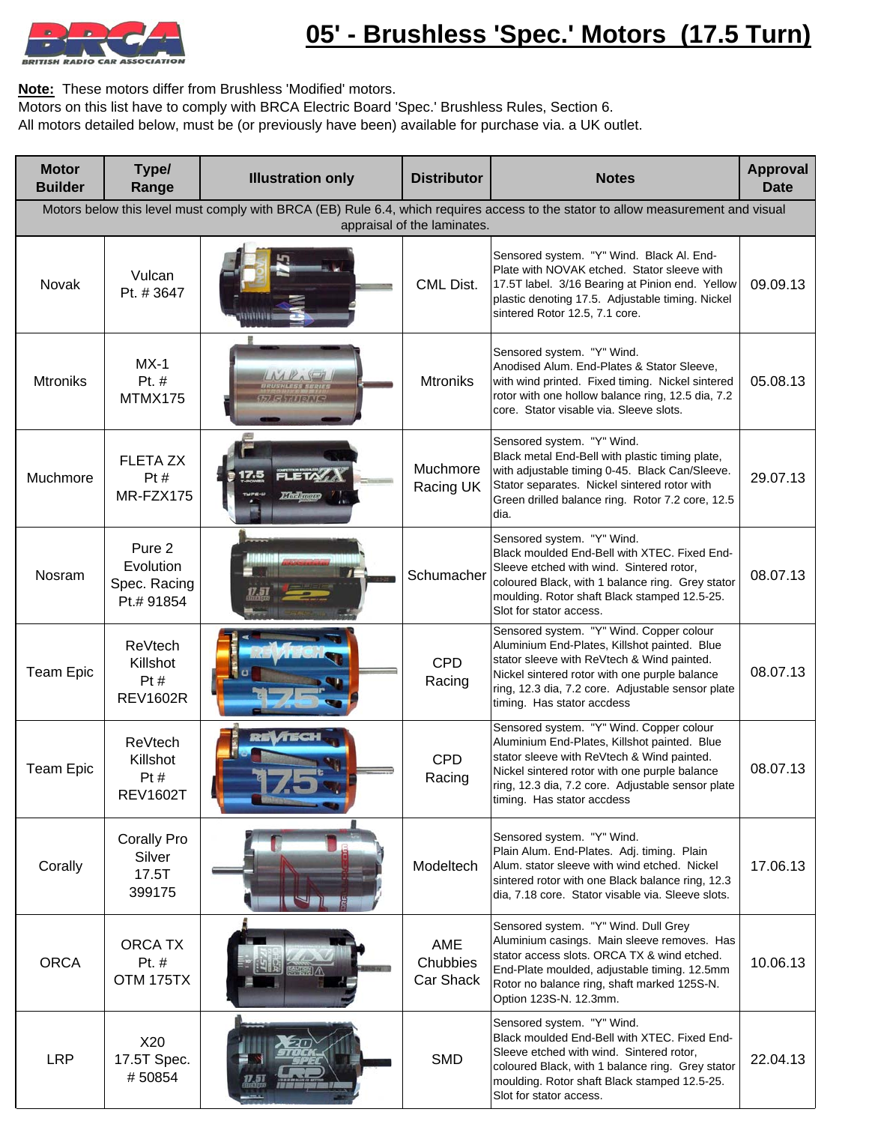

**Note:** These motors differ from Brushless 'Modified' motors.

Motors on this list have to comply with BRCA Electric Board 'Spec.' Brushless Rules, Section 6.

All motors detailed below, must be (or previously have been) available for purchase via. a UK outlet.

| <b>Motor</b><br><b>Builder</b>                                                                                                                                  | Type/<br>Range                                       | <b>Illustration only</b>    | <b>Distributor</b>           | <b>Notes</b>                                                                                                                                                                                                                                                               | <b>Approval</b><br><b>Date</b> |  |
|-----------------------------------------------------------------------------------------------------------------------------------------------------------------|------------------------------------------------------|-----------------------------|------------------------------|----------------------------------------------------------------------------------------------------------------------------------------------------------------------------------------------------------------------------------------------------------------------------|--------------------------------|--|
| Motors below this level must comply with BRCA (EB) Rule 6.4, which requires access to the stator to allow measurement and visual<br>appraisal of the laminates. |                                                      |                             |                              |                                                                                                                                                                                                                                                                            |                                |  |
| Novak                                                                                                                                                           | Vulcan<br>Pt. #3647                                  |                             | CML Dist.                    | Sensored system. "Y" Wind. Black Al. End-<br>Plate with NOVAK etched. Stator sleeve with<br>17.5T label. 3/16 Bearing at Pinion end. Yellow<br>plastic denoting 17.5. Adjustable timing. Nickel<br>sintered Rotor 12.5, 7.1 core.                                          | 09.09.13                       |  |
| <b>Mtroniks</b>                                                                                                                                                 | $MX-1$<br>Pt. #<br>MTMX175                           |                             | <b>Mtroniks</b>              | Sensored system. "Y" Wind.<br>Anodised Alum. End-Plates & Stator Sleeve,<br>with wind printed. Fixed timing. Nickel sintered<br>rotor with one hollow balance ring, 12.5 dia, 7.2<br>core. Stator visable via. Sleeve slots.                                               | 05.08.13                       |  |
| Muchmore                                                                                                                                                        | <b>FLETA ZX</b><br>Pt#<br>MR-FZX175                  | <b>FLETA</b><br>Mindiganger | Muchmore<br>Racing UK        | Sensored system. "Y" Wind.<br>Black metal End-Bell with plastic timing plate,<br>with adjustable timing 0-45. Black Can/Sleeve.<br>Stator separates. Nickel sintered rotor with<br>Green drilled balance ring. Rotor 7.2 core, 12.5<br>dia.                                | 29.07.13                       |  |
| Nosram                                                                                                                                                          | Pure 2<br>Evolution<br>Spec. Racing<br>Pt.# 91854    |                             | Schumacher                   | Sensored system. "Y" Wind.<br>Black moulded End-Bell with XTEC. Fixed End-<br>Sleeve etched with wind. Sintered rotor,<br>coloured Black, with 1 balance ring. Grey stator<br>moulding. Rotor shaft Black stamped 12.5-25.<br>Slot for stator access.                      | 08.07.13                       |  |
| <b>Team Epic</b>                                                                                                                                                | <b>ReVtech</b><br>Killshot<br>Pt#<br><b>REV1602R</b> |                             | <b>CPD</b><br>Racing         | Sensored system. "Y" Wind. Copper colour<br>Aluminium End-Plates, Killshot painted. Blue<br>stator sleeve with ReVtech & Wind painted.<br>Nickel sintered rotor with one purple balance<br>ring, 12.3 dia, 7.2 core. Adjustable sensor plate<br>timing. Has stator accdess | 08.07.13                       |  |
| <b>Team Epic</b>                                                                                                                                                | ReVtech<br>Killshot<br>Pt#<br><b>REV1602T</b>        | RE VITIGH                   | <b>CPD</b><br>Racing         | Sensored system. "Y" Wind. Copper colour<br>Aluminium End-Plates, Killshot painted. Blue<br>stator sleeve with ReVtech & Wind painted.<br>Nickel sintered rotor with one purple balance<br>ring, 12.3 dia, 7.2 core. Adjustable sensor plate<br>timing. Has stator accdess | 08.07.13                       |  |
| Corally                                                                                                                                                         | <b>Corally Pro</b><br>Silver<br>17.5T<br>399175      |                             | Modeltech                    | Sensored system. "Y" Wind.<br>Plain Alum. End-Plates. Adj. timing. Plain<br>Alum. stator sleeve with wind etched. Nickel<br>sintered rotor with one Black balance ring, 12.3<br>dia, 7.18 core. Stator visable via. Sleeve slots.                                          | 17.06.13                       |  |
| <b>ORCA</b>                                                                                                                                                     | <b>ORCA TX</b><br>Pt. #<br>OTM 175TX                 |                             | AME<br>Chubbies<br>Car Shack | Sensored system. "Y" Wind. Dull Grey<br>Aluminium casings. Main sleeve removes. Has<br>stator access slots. ORCA TX & wind etched.<br>End-Plate moulded, adjustable timing. 12.5mm<br>Rotor no balance ring, shaft marked 125S-N.<br>Option 123S-N. 12.3mm.                | 10.06.13                       |  |
| <b>LRP</b>                                                                                                                                                      | X20<br>17.5T Spec.<br>#50854                         |                             | <b>SMD</b>                   | Sensored system. "Y" Wind.<br>Black moulded End-Bell with XTEC. Fixed End-<br>Sleeve etched with wind. Sintered rotor,<br>coloured Black, with 1 balance ring. Grey stator<br>moulding. Rotor shaft Black stamped 12.5-25.<br>Slot for stator access.                      | 22.04.13                       |  |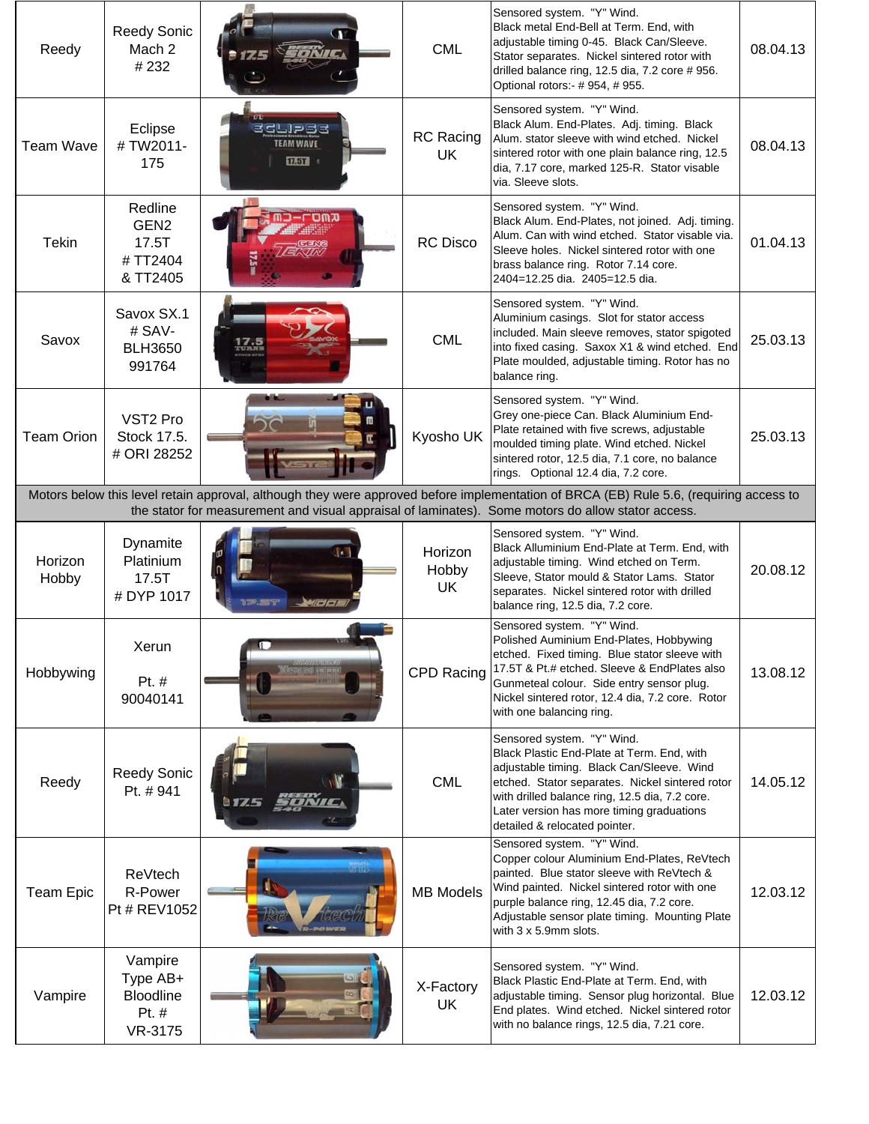| Reedy             | <b>Reedy Sonic</b><br>Mach 2<br>#232                        |                                                   | <b>CML</b>                    | Sensored system. "Y" Wind.<br>Black metal End-Bell at Term. End, with<br>adjustable timing 0-45. Black Can/Sleeve.<br>Stator separates. Nickel sintered rotor with<br>drilled balance ring, 12.5 dia, 7.2 core # 956.<br>Optional rotors:- # 954, # 955.                                                 | 08.04.13 |
|-------------------|-------------------------------------------------------------|---------------------------------------------------|-------------------------------|----------------------------------------------------------------------------------------------------------------------------------------------------------------------------------------------------------------------------------------------------------------------------------------------------------|----------|
| <b>Team Wave</b>  | Eclipse<br>#TW2011-<br>175                                  | eclipse<br><b>TEAM WAVE</b><br>$\overline{12.51}$ | <b>RC</b> Racing<br>UK        | Sensored system. "Y" Wind.<br>Black Alum. End-Plates. Adj. timing. Black<br>Alum. stator sleeve with wind etched. Nickel<br>sintered rotor with one plain balance ring, 12.5<br>dia, 7.17 core, marked 125-R. Stator visable<br>via. Sleeve slots.                                                       | 08.04.13 |
| Tekin             | Redline<br>GEN <sub>2</sub><br>17.5T<br>#TT2404<br>& TT2405 | コーロロのス                                            | <b>RC Disco</b>               | Sensored system. "Y" Wind.<br>Black Alum. End-Plates, not joined. Adj. timing.<br>Alum. Can with wind etched. Stator visable via.<br>Sleeve holes. Nickel sintered rotor with one<br>brass balance ring. Rotor 7.14 core.<br>2404=12.25 dia. 2405=12.5 dia.                                              | 01.04.13 |
| Savox             | Savox SX.1<br># SAV-<br><b>BLH3650</b><br>991764            |                                                   | <b>CML</b>                    | Sensored system. "Y" Wind.<br>Aluminium casings. Slot for stator access<br>included. Main sleeve removes, stator spigoted<br>into fixed casing. Saxox X1 & wind etched. End-<br>Plate moulded, adjustable timing. Rotor has no<br>balance ring.                                                          | 25.03.13 |
| <b>Team Orion</b> | VST <sub>2</sub> Pro<br>Stock 17.5.<br># ORI 28252          | لطاه                                              | Kyosho UK                     | Sensored system. "Y" Wind.<br>Grey one-piece Can. Black Aluminium End-<br>Plate retained with five screws, adjustable<br>moulded timing plate. Wind etched. Nickel<br>sintered rotor, 12.5 dia, 7.1 core, no balance<br>rings. Optional 12.4 dia, 7.2 core.                                              | 25.03.13 |
|                   |                                                             |                                                   |                               | Motors below this level retain approval, although they were approved before implementation of BRCA (EB) Rule 5.6, (requiring access to<br>the stator for measurement and visual appraisal of laminates). Some motors do allow stator access.                                                             |          |
| Horizon<br>Hobby  | Dynamite<br>Platinium<br>17.5T<br># DYP 1017                |                                                   | Horizon<br>Hobby<br><b>UK</b> | Sensored system. "Y" Wind.<br>Black Alluminium End-Plate at Term. End, with<br>adjustable timing. Wind etched on Term.<br>Sleeve, Stator mould & Stator Lams. Stator<br>separates. Nickel sintered rotor with drilled<br>balance ring, 12.5 dia, 7.2 core.                                               | 20.08.12 |
| Hobbywing         | Xerun<br>Pt. #<br>90040141                                  |                                                   | CPD Racing                    | Sensored system. "Y" Wind.<br>Polished Auminium End-Plates, Hobbywing<br>etched. Fixed timing. Blue stator sleeve with<br>17.5T & Pt.# etched. Sleeve & EndPlates also<br>Gunmeteal colour. Side entry sensor plug.<br>Nickel sintered rotor, 12.4 dia, 7.2 core. Rotor<br>with one balancing ring.      | 13.08.12 |
| Reedy             | <b>Reedy Sonic</b><br>Pt. #941                              | 917.5<br>ONIC                                     | <b>CML</b>                    | Sensored system. "Y" Wind.<br>Black Plastic End-Plate at Term. End, with<br>adjustable timing. Black Can/Sleeve. Wind<br>etched. Stator separates. Nickel sintered rotor<br>with drilled balance ring, 12.5 dia, 7.2 core.<br>Later version has more timing graduations<br>detailed & relocated pointer. | 14.05.12 |
| <b>Team Epic</b>  | ReVtech<br>R-Power<br>Pt # REV1052                          |                                                   | <b>MB Models</b>              | Sensored system. "Y" Wind.<br>Copper colour Aluminium End-Plates, ReVtech<br>painted. Blue stator sleeve with ReVtech &<br>Wind painted. Nickel sintered rotor with one<br>purple balance ring, 12.45 dia, 7.2 core.<br>Adjustable sensor plate timing. Mounting Plate<br>with 3 x 5.9mm slots.          | 12.03.12 |
| Vampire           | Vampire<br>Type AB+<br><b>Bloodline</b><br>Pt. #<br>VR-3175 |                                                   | X-Factory<br>UK               | Sensored system. "Y" Wind.<br>Black Plastic End-Plate at Term. End, with<br>adjustable timing. Sensor plug horizontal. Blue<br>End plates. Wind etched. Nickel sintered rotor<br>with no balance rings, 12.5 dia, 7.21 core.                                                                             | 12.03.12 |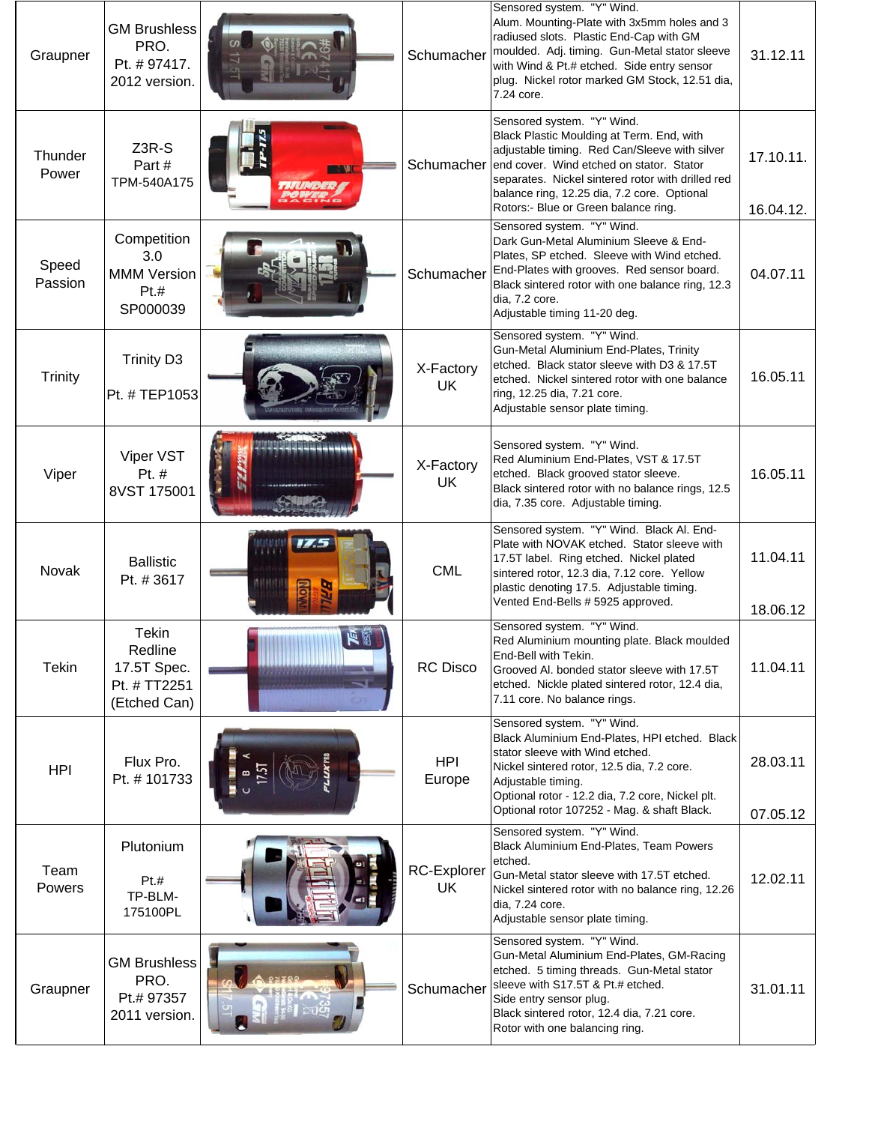| Graupner         | <b>GM Brushless</b><br>PRO.<br>Pt. #97417.<br>2012 version.            |          | Schumacher               | Sensored system. "Y" Wind.<br>Alum. Mounting-Plate with 3x5mm holes and 3<br>radiused slots. Plastic End-Cap with GM<br>moulded. Adj. timing. Gun-Metal stator sleeve<br>with Wind & Pt.# etched. Side entry sensor<br>plug. Nickel rotor marked GM Stock, 12.51 dia,<br>7.24 core.                              | 31.12.11               |
|------------------|------------------------------------------------------------------------|----------|--------------------------|------------------------------------------------------------------------------------------------------------------------------------------------------------------------------------------------------------------------------------------------------------------------------------------------------------------|------------------------|
| Thunder<br>Power | Z3R-S<br>Part#<br>TPM-540A175                                          |          | Schumacher               | Sensored system. "Y" Wind.<br>Black Plastic Moulding at Term. End, with<br>adjustable timing. Red Can/Sleeve with silver<br>end cover. Wind etched on stator. Stator<br>separates. Nickel sintered rotor with drilled red<br>balance ring, 12.25 dia, 7.2 core. Optional<br>Rotors:- Blue or Green balance ring. | 17.10.11.<br>16.04.12. |
| Speed<br>Passion | Competition<br>3.0<br><b>MMM Version</b><br>Pt.#<br>SP000039           |          | Schumacher               | Sensored system. "Y" Wind.<br>Dark Gun-Metal Aluminium Sleeve & End-<br>Plates, SP etched. Sleeve with Wind etched.<br>End-Plates with grooves. Red sensor board.<br>Black sintered rotor with one balance ring, 12.3<br>dia, 7.2 core.<br>Adjustable timing 11-20 deg.                                          | 04.07.11               |
| <b>Trinity</b>   | <b>Trinity D3</b><br>Pt. # TEP1053                                     |          | X-Factory<br><b>UK</b>   | Sensored system. "Y" Wind.<br>Gun-Metal Aluminium End-Plates, Trinity<br>etched. Black stator sleeve with D3 & 17.5T<br>etched. Nickel sintered rotor with one balance<br>ring, 12.25 dia, 7.21 core.<br>Adjustable sensor plate timing.                                                                         | 16.05.11               |
| Viper            | Viper VST<br>Pt. $#$<br>8VST 175001                                    |          | X-Factory<br><b>UK</b>   | Sensored system. "Y" Wind.<br>Red Aluminium End-Plates, VST & 17.5T<br>etched. Black grooved stator sleeve.<br>Black sintered rotor with no balance rings, 12.5<br>dia, 7.35 core. Adjustable timing.                                                                                                            | 16.05.11               |
| Novak            | <b>Ballistic</b><br>Pt. #3617                                          | 175<br>ᄛ | <b>CML</b>               | Sensored system. "Y" Wind. Black Al. End-<br>Plate with NOVAK etched. Stator sleeve with<br>17.5T label. Ring etched. Nickel plated<br>sintered rotor, 12.3 dia, 7.12 core. Yellow<br>plastic denoting 17.5. Adjustable timing.<br>Vented End-Bells # 5925 approved.                                             | 11.04.11<br>18.06.12   |
| <b>Tekin</b>     | <b>Tekin</b><br>Redline<br>17.5T Spec.<br>Pt. # TT2251<br>(Etched Can) | 医圆<br>   | RC Disco                 | Sensored system. "Y" Wind.<br>Red Aluminium mounting plate. Black moulded<br>End-Bell with Tekin.<br>Grooved Al. bonded stator sleeve with 17.5T<br>etched. Nickle plated sintered rotor, 12.4 dia,<br>7.11 core. No balance rings.                                                                              | 11.04.11               |
| <b>HPI</b>       | Flux Pro.<br>Pt. #101733                                               |          | <b>HPI</b><br>Europe     | Sensored system. "Y" Wind.<br>Black Aluminium End-Plates, HPI etched. Black<br>stator sleeve with Wind etched.<br>Nickel sintered rotor, 12.5 dia, 7.2 core.<br>Adjustable timing.<br>Optional rotor - 12.2 dia, 7.2 core, Nickel plt.<br>Optional rotor 107252 - Mag. & shaft Black.                            | 28.03.11               |
| Team<br>Powers   | Plutonium<br>Pt.t<br>TP-BLM-<br>175100PL                               |          | <b>RC-Explorer</b><br>UK | Sensored system. "Y" Wind.<br>Black Aluminium End-Plates, Team Powers<br>etched.<br>Gun-Metal stator sleeve with 17.5T etched.<br>Nickel sintered rotor with no balance ring, 12.26<br>dia, 7.24 core.<br>Adjustable sensor plate timing.                                                                        | 07.05.12<br>12.02.11   |
| Graupner         | <b>GM Brushless</b><br>PRO.<br>Pt.# 97357<br>2011 version.             |          | Schumacher               | Sensored system. "Y" Wind.<br>Gun-Metal Aluminium End-Plates, GM-Racing<br>etched. 5 timing threads. Gun-Metal stator<br>sleeve with S17.5T & Pt.# etched.<br>Side entry sensor plug.<br>Black sintered rotor, 12.4 dia, 7.21 core.<br>Rotor with one balancing ring.                                            | 31.01.11               |